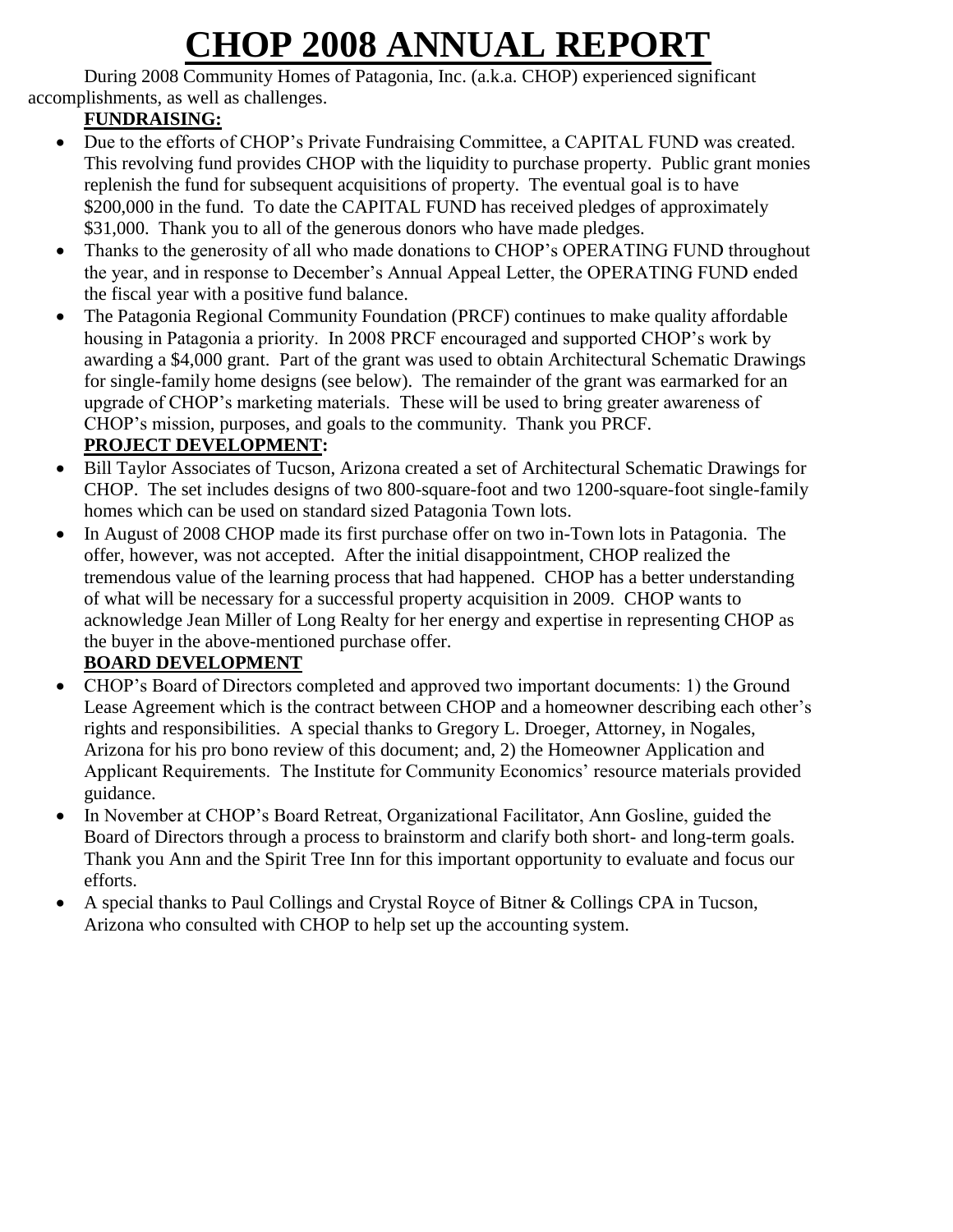# **CHOP 2008 ANNUAL REPORT**

During 2008 Community Homes of Patagonia, Inc. (a.k.a. CHOP) experienced significant accomplishments, as well as challenges.

## **FUNDRAISING:**

- Due to the efforts of CHOP's Private Fundraising Committee, a CAPITAL FUND was created. This revolving fund provides CHOP with the liquidity to purchase property. Public grant monies replenish the fund for subsequent acquisitions of property. The eventual goal is to have \$200,000 in the fund. To date the CAPITAL FUND has received pledges of approximately \$31,000. Thank you to all of the generous donors who have made pledges.
- Thanks to the generosity of all who made donations to CHOP's OPERATING FUND throughout the year, and in response to December's Annual Appeal Letter, the OPERATING FUND ended the fiscal year with a positive fund balance.
- The Patagonia Regional Community Foundation (PRCF) continues to make quality affordable housing in Patagonia a priority. In 2008 PRCF encouraged and supported CHOP's work by awarding a \$4,000 grant. Part of the grant was used to obtain Architectural Schematic Drawings for single-family home designs (see below). The remainder of the grant was earmarked for an upgrade of CHOP's marketing materials. These will be used to bring greater awareness of CHOP's mission, purposes, and goals to the community. Thank you PRCF.

## **PROJECT DEVELOPMENT:**

- Bill Taylor Associates of Tucson, Arizona created a set of Architectural Schematic Drawings for CHOP. The set includes designs of two 800-square-foot and two 1200-square-foot single-family homes which can be used on standard sized Patagonia Town lots.
- In August of 2008 CHOP made its first purchase offer on two in-Town lots in Patagonia. The offer, however, was not accepted. After the initial disappointment, CHOP realized the tremendous value of the learning process that had happened. CHOP has a better understanding of what will be necessary for a successful property acquisition in 2009. CHOP wants to acknowledge Jean Miller of Long Realty for her energy and expertise in representing CHOP as the buyer in the above-mentioned purchase offer.

# **BOARD DEVELOPMENT**

- CHOP's Board of Directors completed and approved two important documents: 1) the Ground Lease Agreement which is the contract between CHOP and a homeowner describing each other's rights and responsibilities. A special thanks to Gregory L. Droeger, Attorney, in Nogales, Arizona for his pro bono review of this document; and, 2) the Homeowner Application and Applicant Requirements. The Institute for Community Economics' resource materials provided guidance.
- In November at CHOP's Board Retreat, Organizational Facilitator, Ann Gosline, guided the Board of Directors through a process to brainstorm and clarify both short- and long-term goals. Thank you Ann and the Spirit Tree Inn for this important opportunity to evaluate and focus our efforts.
- A special thanks to Paul Collings and Crystal Royce of Bitner & Collings CPA in Tucson, Arizona who consulted with CHOP to help set up the accounting system.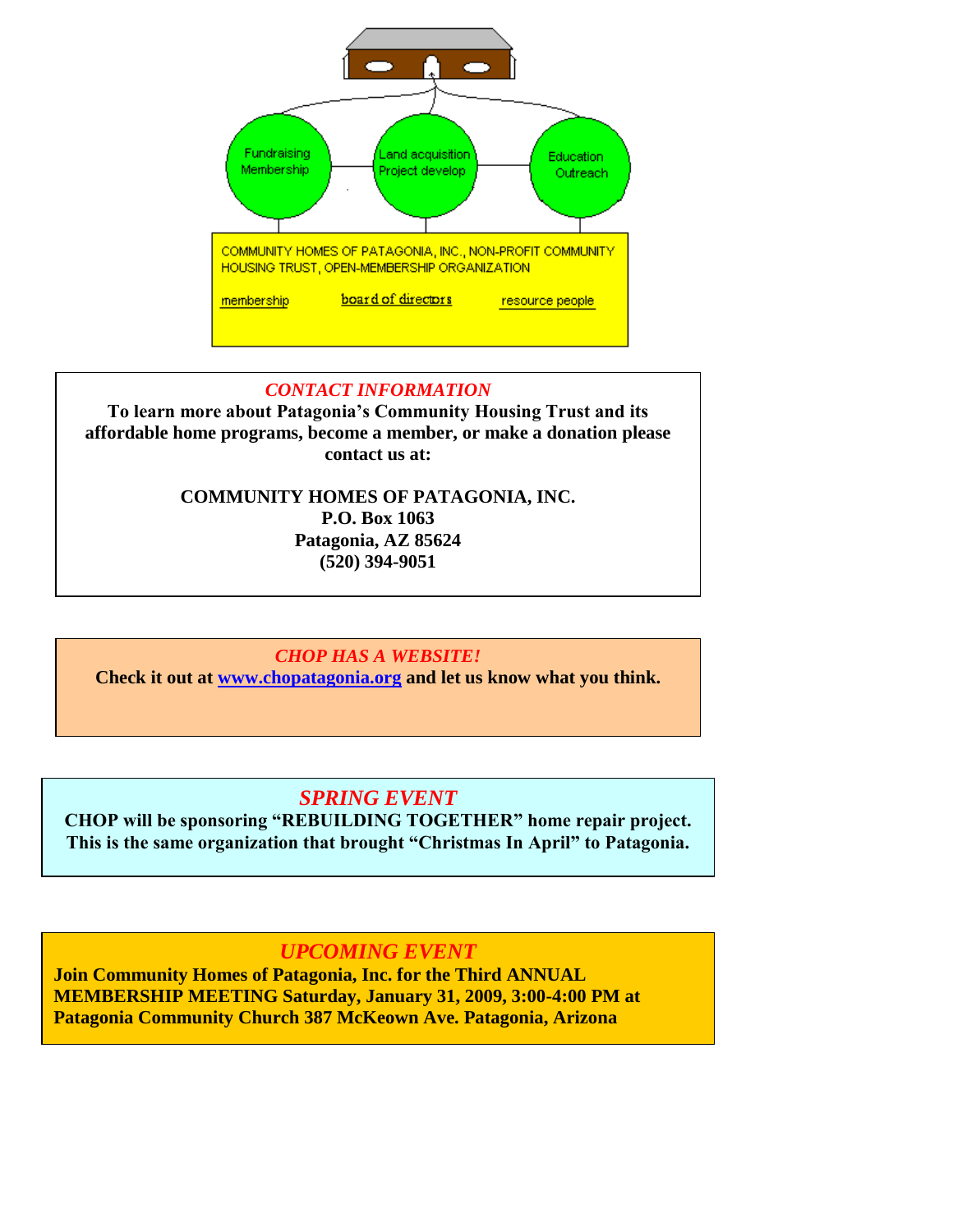

#### *CONTACT INFORMATION*

**To learn more about Patagonia's Community Housing Trust and its affordable home programs, become a member, or make a donation please contact us at:**

### **COMMUNITY HOMES OF PATAGONIA, INC. P.O. Box 1063 Patagonia, AZ 85624 (520) 394-9051**

### *CHOP HAS A WEBSITE!*

**Check it out at [www.chopatagonia.org](http://www.chopatagonia.org/) and let us know what you think.** 

## *SPRING EVENT*

**CHOP will be sponsoring "REBUILDING TOGETHER" home repair project. This is the same organization that brought "Christmas In April" to Patagonia.**

## *UPCOMING EVENT*

Patagonia Community Church 387 McKeown Ave. Patagonia, Arizona **Join Community Homes of Patagonia, Inc. for the Third ANNUAL MEMBERSHIP MEETING Saturday, January 31, 2009, 3:00-4:00 PM at**